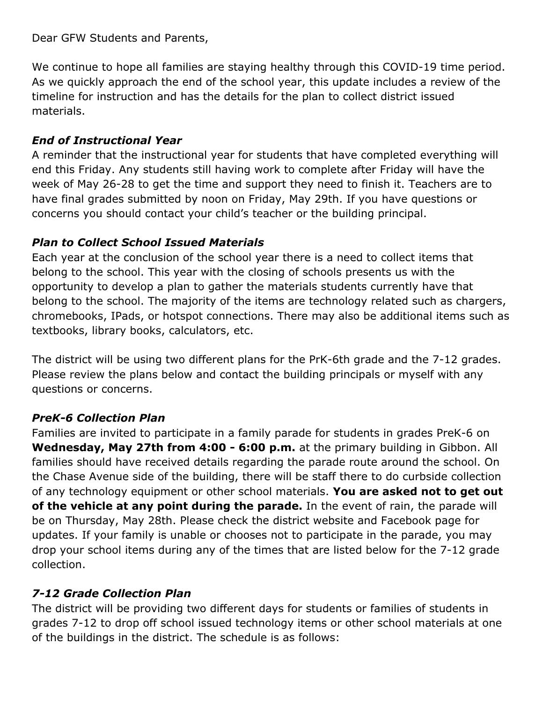Dear GFW Students and Parents,

We continue to hope all families are staying healthy through this COVID-19 time period. As we quickly approach the end of the school year, this update includes a review of the timeline for instruction and has the details for the plan to collect district issued materials.

#### *End of Instructional Year*

A reminder that the instructional year for students that have completed everything will end this Friday. Any students still having work to complete after Friday will have the week of May 26-28 to get the time and support they need to finish it. Teachers are to have final grades submitted by noon on Friday, May 29th. If you have questions or concerns you should contact your child's teacher or the building principal.

#### *Plan to Collect School Issued Materials*

Each year at the conclusion of the school year there is a need to collect items that belong to the school. This year with the closing of schools presents us with the opportunity to develop a plan to gather the materials students currently have that belong to the school. The majority of the items are technology related such as chargers, chromebooks, IPads, or hotspot connections. There may also be additional items such as textbooks, library books, calculators, etc.

The district will be using two different plans for the PrK-6th grade and the 7-12 grades. Please review the plans below and contact the building principals or myself with any questions or concerns.

## *PreK-6 Collection Plan*

Families are invited to participate in a family parade for students in grades PreK-6 on **Wednesday, May 27th from 4:00 - 6:00 p.m.** at the primary building in Gibbon. All families should have received details regarding the parade route around the school. On the Chase Avenue side of the building, there will be staff there to do curbside collection of any technology equipment or other school materials. **You are asked not to get out of the vehicle at any point during the parade.** In the event of rain, the parade will be on Thursday, May 28th. Please check the district website and Facebook page for updates. If your family is unable or chooses not to participate in the parade, you may drop your school items during any of the times that are listed below for the 7-12 grade collection.

## *7-12 Grade Collection Plan*

The district will be providing two different days for students or families of students in grades 7-12 to drop off school issued technology items or other school materials at one of the buildings in the district. The schedule is as follows: